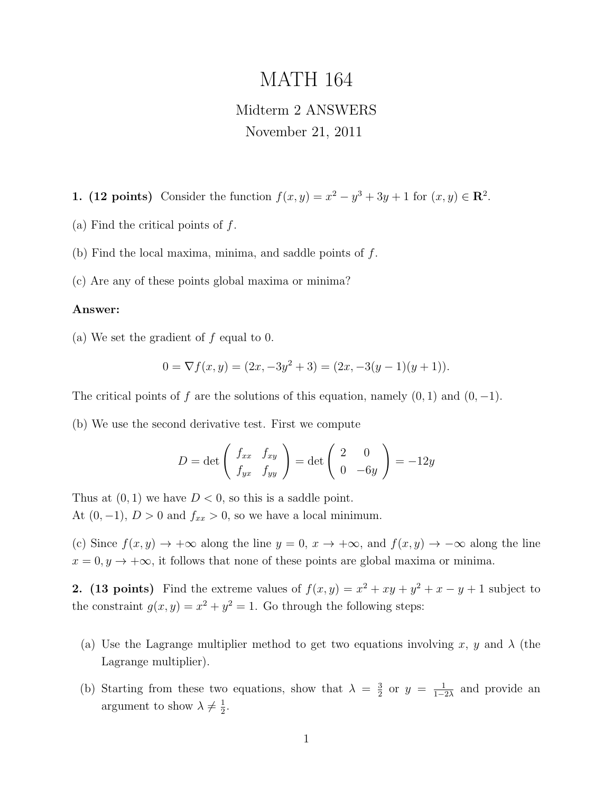# MATH 164

## Midterm 2 ANSWERS November 21, 2011

1. (12 points) Consider the function  $f(x,y) = x^2 - y^3 + 3y + 1$  for  $(x, y) \in \mathbb{R}^2$ .

(a) Find the critical points of  $f$ .

(b) Find the local maxima, minima, and saddle points of f.

(c) Are any of these points global maxima or minima?

#### Answer:

(a) We set the gradient of  $f$  equal to 0.

$$
0 = \nabla f(x, y) = (2x, -3y^2 + 3) = (2x, -3(y - 1)(y + 1)).
$$

The critical points of f are the solutions of this equation, namely  $(0, 1)$  and  $(0, -1)$ .

(b) We use the second derivative test. First we compute

$$
D = \det \left( \begin{array}{cc} f_{xx} & f_{xy} \\ f_{yx} & f_{yy} \end{array} \right) = \det \left( \begin{array}{cc} 2 & 0 \\ 0 & -6y \end{array} \right) = -12y
$$

Thus at  $(0, 1)$  we have  $D < 0$ , so this is a saddle point. At  $(0, -1)$ ,  $D > 0$  and  $f_{xx} > 0$ , so we have a local minimum.

(c) Since  $f(x, y) \to +\infty$  along the line  $y = 0, x \to +\infty$ , and  $f(x, y) \to -\infty$  along the line  $x = 0, y \to +\infty$ , it follows that none of these points are global maxima or minima.

2. (13 points) Find the extreme values of  $f(x,y) = x^2 + xy + y^2 + x - y + 1$  subject to the constraint  $g(x, y) = x^2 + y^2 = 1$ . Go through the following steps:

- (a) Use the Lagrange multiplier method to get two equations involving x, y and  $\lambda$  (the Lagrange multiplier).
- (b) Starting from these two equations, show that  $\lambda = \frac{3}{2}$  $\frac{3}{2}$  or  $y = \frac{1}{1-z}$  $\frac{1}{1-2\lambda}$  and provide an argument to show  $\lambda \neq \frac{1}{2}$  $\frac{1}{2}$ .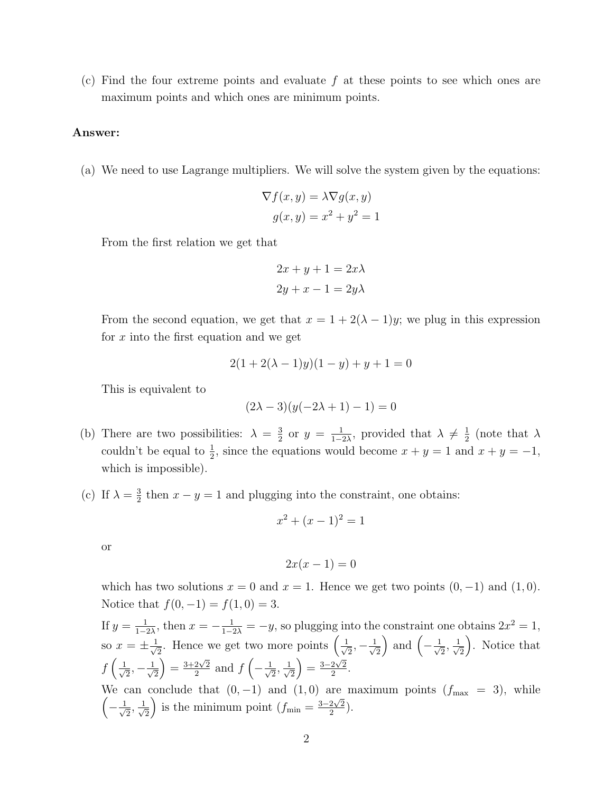(c) Find the four extreme points and evaluate  $f$  at these points to see which ones are maximum points and which ones are minimum points.

#### Answer:

(a) We need to use Lagrange multipliers. We will solve the system given by the equations:

$$
\nabla f(x, y) = \lambda \nabla g(x, y)
$$

$$
g(x, y) = x^2 + y^2 = 1
$$

From the first relation we get that

$$
2x + y + 1 = 2x\lambda
$$

$$
2y + x - 1 = 2y\lambda
$$

From the second equation, we get that  $x = 1 + 2(\lambda - 1)y$ ; we plug in this expression for  $x$  into the first equation and we get

$$
2(1 + 2(\lambda - 1)y)(1 - y) + y + 1 = 0
$$

This is equivalent to

$$
(2\lambda - 3)(y(-2\lambda + 1) - 1) = 0
$$

- (b) There are two possibilities:  $\lambda = \frac{3}{2}$  $\frac{3}{2}$  or  $y = \frac{1}{1-z}$  $\frac{1}{1-2\lambda}$ , provided that  $\lambda \neq \frac{1}{2}$  $rac{1}{2}$  (note that  $\lambda$ couldn't be equal to  $\frac{1}{2}$ , since the equations would become  $x + y = 1$  and  $x + y = -1$ , which is impossible).
- (c) If  $\lambda = \frac{3}{2}$  $\frac{3}{2}$  then  $x - y = 1$  and plugging into the constraint, one obtains:

$$
x^2 + (x - 1)^2 = 1
$$

or

$$
2x(x-1) = 0
$$

which has two solutions  $x = 0$  and  $x = 1$ . Hence we get two points  $(0, -1)$  and  $(1, 0)$ . Notice that  $f(0, -1) = f(1, 0) = 3$ .

If  $y = \frac{1}{1 - x^2}$  $\frac{1}{1-2\lambda}$ , then  $x = -\frac{1}{1-2\lambda} = -y$ , so plugging into the constraint one obtains  $2x^2 = 1$ , so  $x=\pm\frac{1}{\sqrt{2}}$  $\frac{1}{2}$ . Hence we get two more points  $\left(\frac{1}{\sqrt{2}}\right)$  $\frac{1}{2}, -\frac{1}{\sqrt{2}}$ 2 ) and  $\left(-\frac{1}{\sqrt{2}}\right)$  $\frac{1}{2}, \frac{1}{\sqrt{2}}$ 2 . Notice that  $f\left(\frac{1}{\sqrt{2}}\right)$  $\frac{1}{2}, -\frac{1}{\sqrt{2}}$ 2  $= \frac{3+2\sqrt{2}}{2}$  $rac{2\sqrt{2}}{2}$  and  $f\left(-\frac{1}{\sqrt{2}}\right)$  $\frac{1}{2}, \frac{1}{\sqrt{2}}$ 2  $= \frac{3-2\sqrt{2}}{2}$  $\frac{2\sqrt{2}}{2}$ . We can conclude that  $(0, -1)$  and  $(1, 0)$  are maximum points  $(f_{\text{max}} = 3)$ , while

 $\left(-\frac{1}{\sqrt{2}}\right)$  $\frac{1}{2}, \frac{1}{\sqrt{2}}$ 2 is the minimum point  $(f_{\min} = \frac{3-2\sqrt{2}}{2})$  $\frac{2\sqrt{2}}{2}$ ).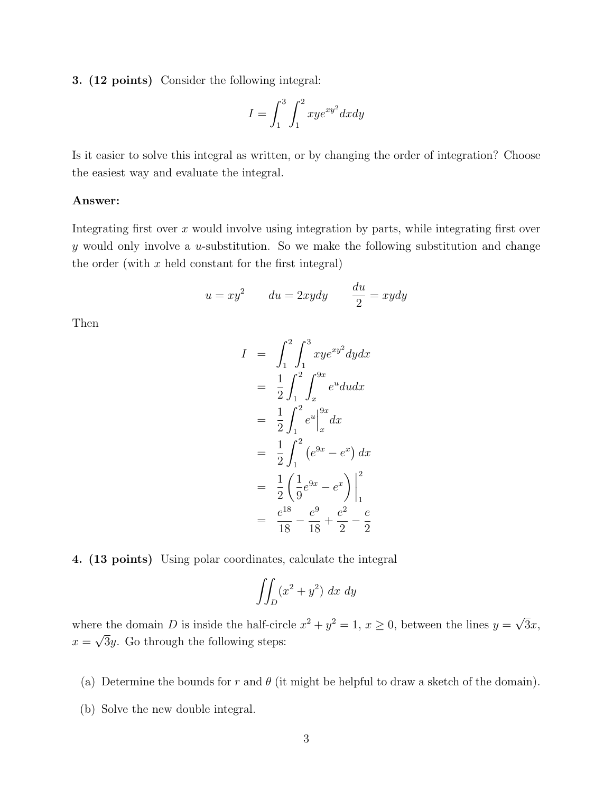3. (12 points) Consider the following integral:

$$
I = \int_1^3 \int_1^2 xye^{xy^2}dxdy
$$

Is it easier to solve this integral as written, or by changing the order of integration? Choose the easiest way and evaluate the integral.

#### Answer:

Integrating first over  $x$  would involve using integration by parts, while integrating first over  $y$  would only involve a  $u$ -substitution. So we make the following substitution and change the order (with  $x$  held constant for the first integral)

$$
u = xy^2 \qquad du = 2xydy \qquad \frac{du}{2} = xydy
$$

Then

$$
I = \int_{1}^{2} \int_{1}^{3} xye^{xy^{2}} dy dx
$$
  
\n
$$
= \frac{1}{2} \int_{1}^{2} \int_{x}^{9x} e^{u} du dx
$$
  
\n
$$
= \frac{1}{2} \int_{1}^{2} e^{u} \Big|_{x}^{9x} dx
$$
  
\n
$$
= \frac{1}{2} \int_{1}^{2} (e^{9x} - e^{x}) dx
$$
  
\n
$$
= \frac{1}{2} (\frac{1}{9}e^{9x} - e^{x}) \Big|_{1}^{2}
$$
  
\n
$$
= \frac{e^{18}}{18} - \frac{e^{9}}{18} + \frac{e^{2}}{2} - \frac{e}{2}
$$

4. (13 points) Using polar coordinates, calculate the integral

$$
\iint_D (x^2 + y^2) \ dx \ dy
$$

where the domain D is inside the half-circle  $x^2 + y^2 = 1$ ,  $x \ge 0$ , between the lines  $y =$ √ re the domain D is inside the half-circle  $x^2 + y^2 = 1$ ,  $x \ge 0$ , between the lines  $y = \sqrt{3x}$ ,  $x = \sqrt{3}y$ . Go through the following steps:

- (a) Determine the bounds for r and  $\theta$  (it might be helpful to draw a sketch of the domain).
- (b) Solve the new double integral.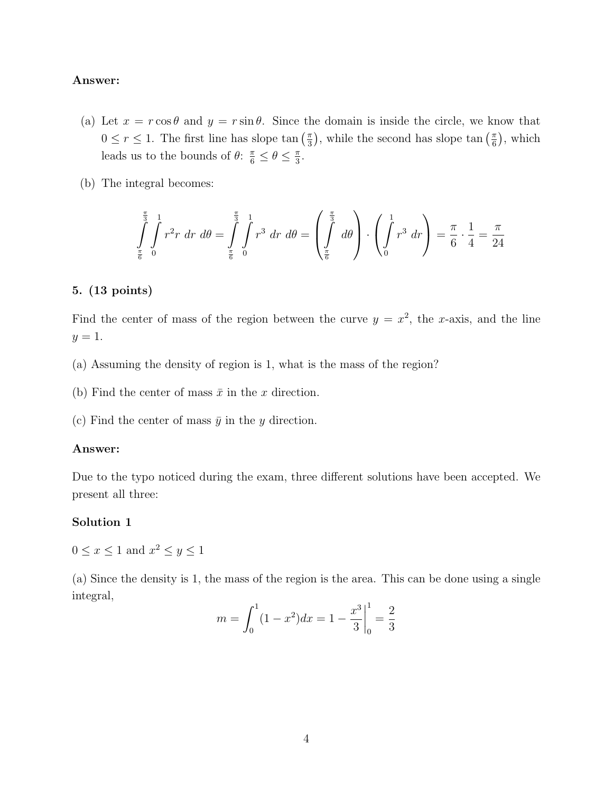#### Answer:

- (a) Let  $x = r \cos \theta$  and  $y = r \sin \theta$ . Since the domain is inside the circle, we know that  $0 \leq r \leq 1$ . The first line has slope tan  $\left(\frac{\pi}{3}\right)$  $(\frac{\pi}{3})$ , while the second has slope tan  $(\frac{\pi}{6})$  $(\frac{\pi}{6}),$  which leads us to the bounds of  $\theta$ :  $\frac{\pi}{6} \le \theta \le \frac{\pi}{3}$  $\frac{\pi}{3}$ .
- (b) The integral becomes:

$$
\int_{\frac{\pi}{6}}^{\frac{\pi}{3}} \int_{0}^{1} r^{2} r \, dr \, d\theta = \int_{\frac{\pi}{6}}^{\frac{\pi}{3}} \int_{0}^{1} r^{3} \, dr \, d\theta = \left( \int_{\frac{\pi}{6}}^{\frac{\pi}{3}} d\theta \right) \cdot \left( \int_{0}^{1} r^{3} \, dr \right) = \frac{\pi}{6} \cdot \frac{1}{4} = \frac{\pi}{24}
$$

#### 5. (13 points)

Find the center of mass of the region between the curve  $y = x^2$ , the x-axis, and the line  $y=1$ .

- (a) Assuming the density of region is 1, what is the mass of the region?
- (b) Find the center of mass  $\bar{x}$  in the x direction.
- (c) Find the center of mass  $\bar{y}$  in the y direction.

#### Answer:

Due to the typo noticed during the exam, three different solutions have been accepted. We present all three:

#### Solution 1

 $0 \leq x \leq 1$  and  $x^2 \leq y \leq 1$ 

(a) Since the density is 1, the mass of the region is the area. This can be done using a single integral,

$$
m = \int_0^1 (1 - x^2) dx = 1 - \frac{x^3}{3} \Big|_0^1 = \frac{2}{3}
$$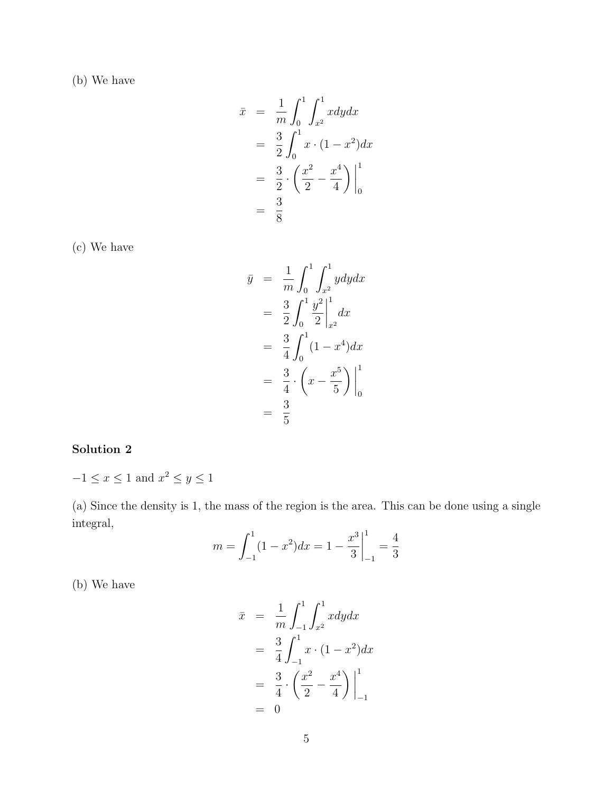(b) We have

$$
\bar{x} = \frac{1}{m} \int_0^1 \int_{x^2}^1 x dy dx
$$
  
=  $\frac{3}{2} \int_0^1 x \cdot (1 - x^2) dx$   
=  $\frac{3}{2} \cdot \left( \frac{x^2}{2} - \frac{x^4}{4} \right) \Big|_0^1$   
=  $\frac{3}{8}$ 

(c) We have

$$
\bar{y} = \frac{1}{m} \int_0^1 \int_{x^2}^1 y dy dx
$$
  
\n
$$
= \frac{3}{2} \int_0^1 \frac{y^2}{2} \Big|_{x^2}^1 dx
$$
  
\n
$$
= \frac{3}{4} \int_0^1 (1 - x^4) dx
$$
  
\n
$$
= \frac{3}{4} \cdot \left( x - \frac{x^5}{5} \right) \Big|_0^1
$$
  
\n
$$
= \frac{3}{5}
$$

## Solution 2

 $-1 \leq x \leq 1$  and  $x^2 \leq y \leq 1$ 

(a) Since the density is 1, the mass of the region is the area. This can be done using a single integral,

$$
m = \int_{-1}^{1} (1 - x^2) dx = 1 - \frac{x^3}{3} \Big|_{-1}^{1} = \frac{4}{3}
$$

(b) We have

$$
\bar{x} = \frac{1}{m} \int_{-1}^{1} \int_{x^2}^{1} x dy dx
$$
  
=  $\frac{3}{4} \int_{-1}^{1} x \cdot (1 - x^2) dx$   
=  $\frac{3}{4} \cdot \left( \frac{x^2}{2} - \frac{x^4}{4} \right) \Big|_{-1}^{1}$   
= 0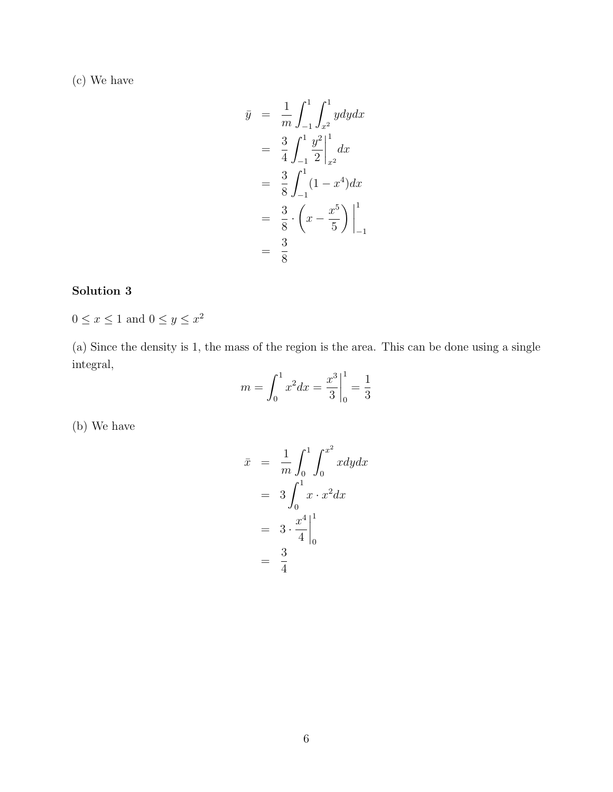(c) We have

$$
\bar{y} = \frac{1}{m} \int_{-1}^{1} \int_{x^2}^{1} y dy dx
$$
  
\n
$$
= \frac{3}{4} \int_{-1}^{1} \frac{y^2}{2} \Big|_{x^2}^{1} dx
$$
  
\n
$$
= \frac{3}{8} \int_{-1}^{1} (1 - x^4) dx
$$
  
\n
$$
= \frac{3}{8} \cdot \left( x - \frac{x^5}{5} \right) \Big|_{-1}^{1}
$$
  
\n
$$
= \frac{3}{8}
$$

### Solution 3

 $0 \leq x \leq 1$  and  $0 \leq y \leq x^2$ 

(a) Since the density is 1, the mass of the region is the area. This can be done using a single integral,

$$
m = \int_0^1 x^2 dx = \frac{x^3}{3} \Big|_0^1 = \frac{1}{3}
$$

(b) We have

$$
\bar{x} = \frac{1}{m} \int_0^1 \int_0^{x^2} x dy dx
$$

$$
= 3 \int_0^1 x \cdot x^2 dx
$$

$$
= 3 \cdot \frac{x^4}{4} \Big|_0^1
$$

$$
= \frac{3}{4}
$$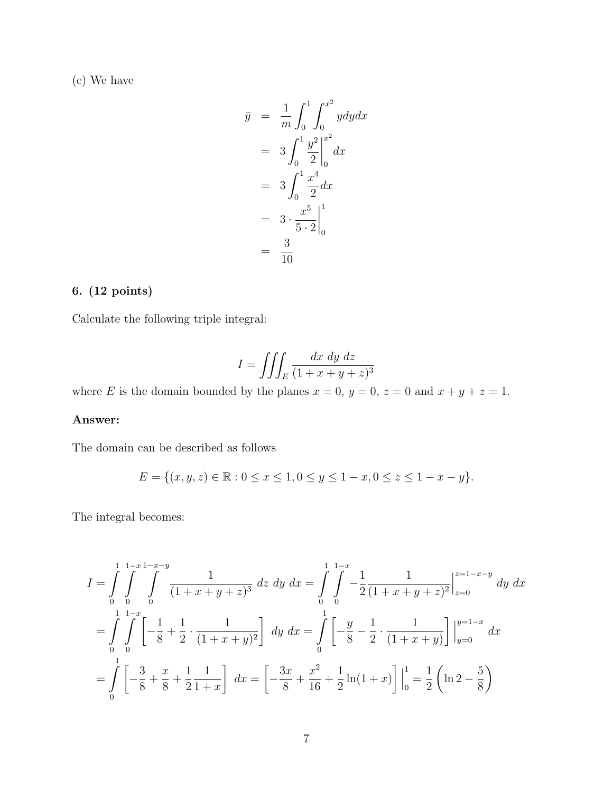(c) We have

$$
\bar{y} = \frac{1}{m} \int_0^1 \int_0^{x^2} y \,dy \,dx
$$
\n
$$
= 3 \int_0^1 \frac{y^2}{2} \Big|_0^{x^2} \,dx
$$
\n
$$
= 3 \int_0^1 \frac{x^4}{2} \,dx
$$
\n
$$
= 3 \cdot \frac{x^5}{5 \cdot 2} \Big|_0^1
$$
\n
$$
= \frac{3}{10}
$$

#### 6. (12 points)

Calculate the following triple integral:

$$
I = \iiint_E \frac{dx \, dy \, dz}{(1 + x + y + z)^3}
$$

where E is the domain bounded by the planes  $x = 0$ ,  $y = 0$ ,  $z = 0$  and  $x + y + z = 1$ .

#### Answer:

The domain can be described as follows

$$
E = \{(x, y, z) \in \mathbb{R} : 0 \le x \le 1, 0 \le y \le 1 - x, 0 \le z \le 1 - x - y\}.
$$

The integral becomes:

$$
I = \int_{0}^{1} \int_{0}^{1-x} \int_{0}^{1-x-y} \frac{1}{(1+x+y+z)^3} dz dy dx = \int_{0}^{1} \int_{0}^{1-x} -\frac{1}{2} \frac{1}{(1+x+y+z)^2} \Big|_{z=0}^{z=1-x-y} dy dx
$$
  

$$
= \int_{0}^{1} \int_{0}^{1-x} \left[ -\frac{1}{8} + \frac{1}{2} \cdot \frac{1}{(1+x+y)^2} \right] dy dx = \int_{0}^{1} \left[ -\frac{y}{8} - \frac{1}{2} \cdot \frac{1}{(1+x+y)} \right] \Big|_{y=0}^{y=1-x} dx
$$
  

$$
= \int_{0}^{1} \left[ -\frac{3}{8} + \frac{x}{8} + \frac{1}{2} \frac{1}{1+x} \right] dx = \left[ -\frac{3x}{8} + \frac{x^2}{16} + \frac{1}{2} \ln(1+x) \right] \Big|_{0}^{1} = \frac{1}{2} \left( \ln 2 - \frac{5}{8} \right)
$$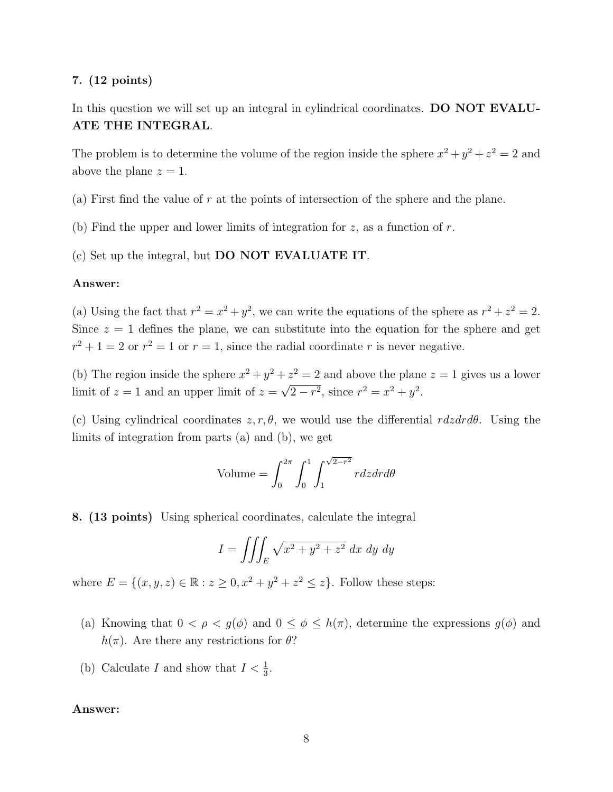#### 7. (12 points)

In this question we will set up an integral in cylindrical coordinates. DO NOT EVALU-ATE THE INTEGRAL.

The problem is to determine the volume of the region inside the sphere  $x^2 + y^2 + z^2 = 2$  and above the plane  $z = 1$ .

- (a) First find the value of  $r$  at the points of intersection of the sphere and the plane.
- (b) Find the upper and lower limits of integration for  $z$ , as a function of  $r$ .

(c) Set up the integral, but DO NOT EVALUATE IT.

#### Answer:

(a) Using the fact that  $r^2 = x^2 + y^2$ , we can write the equations of the sphere as  $r^2 + z^2 = 2$ . Since  $z = 1$  defines the plane, we can substitute into the equation for the sphere and get  $r^2 + 1 = 2$  or  $r^2 = 1$  or  $r = 1$ , since the radial coordinate r is never negative.

(b) The region inside the sphere  $x^2 + y^2 + z^2 = 2$  and above the plane  $z = 1$  gives us a lower limit of  $z = 1$  and an upper limit of  $z =$ √  $\sqrt{2-r^2}$ , since  $r^2 = x^2 + y^2$ .

(c) Using cylindrical coordinates  $z, r, \theta$ , we would use the differential  $rdzdrd\theta$ . Using the limits of integration from parts (a) and (b), we get

Volume = 
$$
\int_0^{2\pi} \int_0^1 \int_1^{\sqrt{2-r^2}} r dz dr d\theta
$$

8. (13 points) Using spherical coordinates, calculate the integral

$$
I = \iiint_E \sqrt{x^2 + y^2 + z^2} \, dx \, dy \, dy
$$

where  $E = \{(x, y, z) \in \mathbb{R} : z \ge 0, x^2 + y^2 + z^2 \le z\}$ . Follow these steps:

- (a) Knowing that  $0 < \rho < g(\phi)$  and  $0 \le \phi \le h(\pi)$ , determine the expressions  $g(\phi)$  and  $h(\pi)$ . Are there any restrictions for  $\theta$ ?
- (b) Calculate I and show that  $I < \frac{1}{3}$ .

#### Answer: